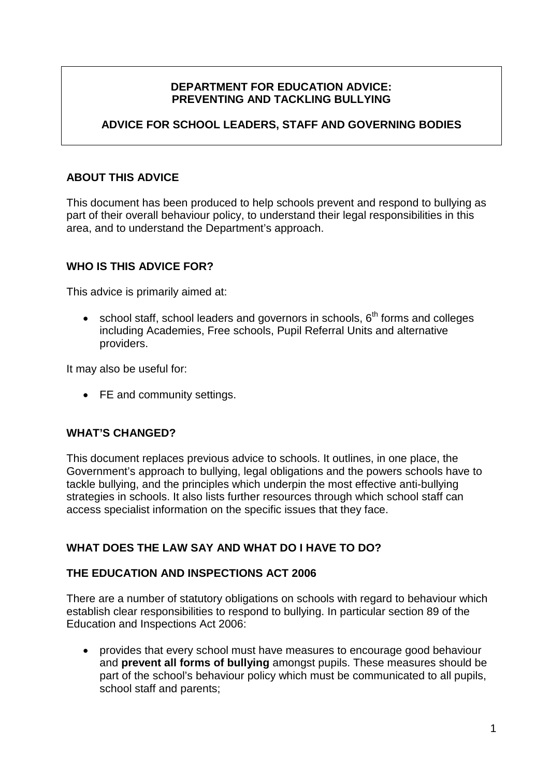# **DEPARTMENT FOR EDUCATION ADVICE: PREVENTING AND TACKLING BULLYING**

# **ADVICE FOR SCHOOL LEADERS, STAFF AND GOVERNING BODIES**

## **ABOUT THIS ADVICE**

This document has been produced to help schools prevent and respond to bullying as part of their overall behaviour policy, to understand their legal responsibilities in this area, and to understand the Department's approach.

## **WHO IS THIS ADVICE FOR?**

This advice is primarily aimed at:

• school staff, school leaders and governors in schools,  $6<sup>th</sup>$  forms and colleges including Academies, Free schools, Pupil Referral Units and alternative providers.

It may also be useful for:

• FE and community settings.

#### **WHAT'S CHANGED?**

This document replaces previous advice to schools. It outlines, in one place, the Government's approach to bullying, legal obligations and the powers schools have to tackle bullying, and the principles which underpin the most effective anti-bullying strategies in schools. It also lists further resources through which school staff can access specialist information on the specific issues that they face.

# **WHAT DOES THE LAW SAY AND WHAT DO I HAVE TO DO?**

#### **THE EDUCATION AND INSPECTIONS ACT 2006**

There are a number of statutory obligations on schools with regard to behaviour which establish clear responsibilities to respond to bullying. In particular section 89 of the Education and Inspections Act 2006:

• provides that every school must have measures to encourage good behaviour and **prevent all forms of bullying** amongst pupils. These measures should be part of the school's behaviour policy which must be communicated to all pupils, school staff and parents;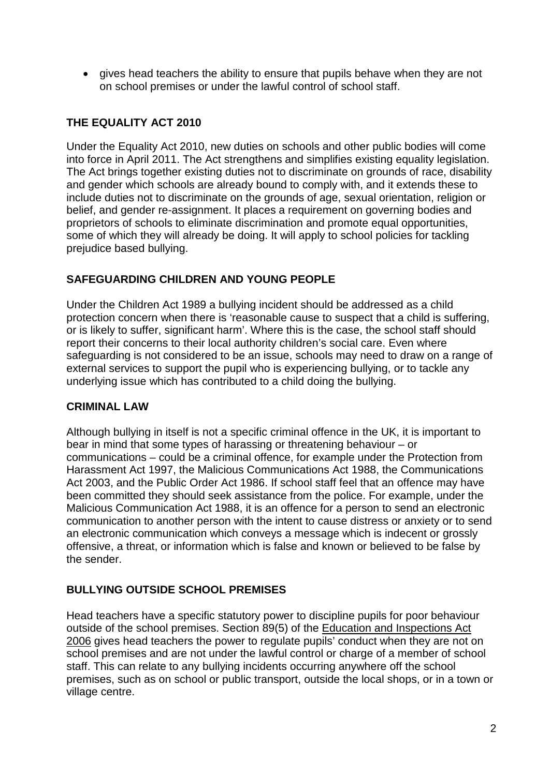• gives head teachers the ability to ensure that pupils behave when they are not on school premises or under the lawful control of school staff.

# **THE EQUALITY ACT 2010**

Under the Equality Act 2010, new duties on schools and other public bodies will come into force in April 2011. The Act strengthens and simplifies existing equality legislation. The Act brings together existing duties not to discriminate on grounds of race, disability and gender which schools are already bound to comply with, and it extends these to include duties not to discriminate on the grounds of age, sexual orientation, religion or belief, and gender re-assignment. It places a requirement on governing bodies and proprietors of schools to eliminate discrimination and promote equal opportunities, some of which they will already be doing. It will apply to school policies for tackling prejudice based bullying.

# **SAFEGUARDING CHILDREN AND YOUNG PEOPLE**

Under the Children Act 1989 a bullying incident should be addressed as a child protection concern when there is 'reasonable cause to suspect that a child is suffering, or is likely to suffer, significant harm'. Where this is the case, the school staff should report their concerns to their local authority children's social care. Even where safeguarding is not considered to be an issue, schools may need to draw on a range of external services to support the pupil who is experiencing bullying, or to tackle any underlying issue which has contributed to a child doing the bullying.

# **CRIMINAL LAW**

Although bullying in itself is not a specific criminal offence in the UK, it is important to bear in mind that some types of harassing or threatening behaviour – or communications – could be a criminal offence, for example under the Protection from Harassment Act 1997, the Malicious Communications Act 1988, the Communications Act 2003, and the Public Order Act 1986. If school staff feel that an offence may have been committed they should seek assistance from the police. For example, under the Malicious Communication Act 1988, it is an offence for a person to send an electronic communication to another person with the intent to cause distress or anxiety or to send an electronic communication which conveys a message which is indecent or grossly offensive, a threat, or information which is false and known or believed to be false by the sender.

# **BULLYING OUTSIDE SCHOOL PREMISES**

Head teachers have a specific statutory power to discipline pupils for poor behaviour outside of the school premises. Section 89(5) of the Education and Inspections Act 2006 gives head teachers the power to regulate pupils' conduct when they are not on school premises and are not under the lawful control or charge of a member of school staff. This can relate to any bullying incidents occurring anywhere off the school premises, such as on school or public transport, outside the local shops, or in a town or village centre.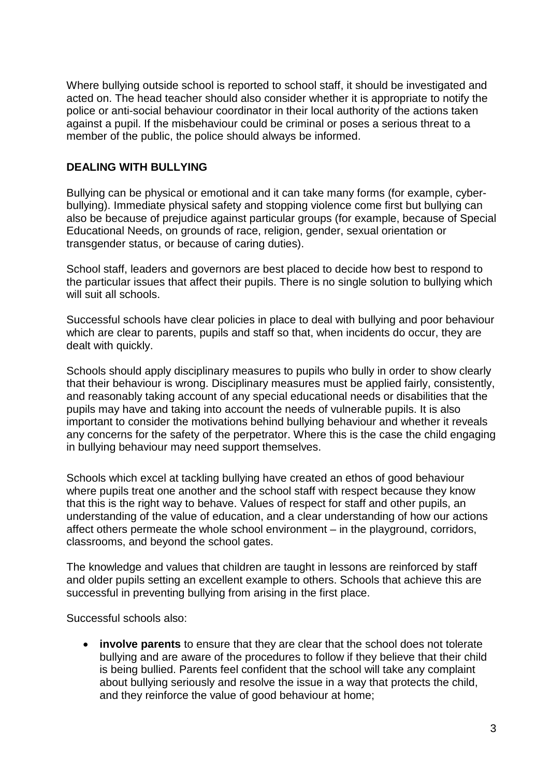Where bullying outside school is reported to school staff, it should be investigated and acted on. The head teacher should also consider whether it is appropriate to notify the police or anti-social behaviour coordinator in their local authority of the actions taken against a pupil. If the misbehaviour could be criminal or poses a serious threat to a member of the public, the police should always be informed.

## **DEALING WITH BULLYING**

Bullying can be physical or emotional and it can take many forms (for example, cyberbullying). Immediate physical safety and stopping violence come first but bullying can also be because of prejudice against particular groups (for example, because of Special Educational Needs, on grounds of race, religion, gender, sexual orientation or transgender status, or because of caring duties).

School staff, leaders and governors are best placed to decide how best to respond to the particular issues that affect their pupils. There is no single solution to bullying which will suit all schools.

Successful schools have clear policies in place to deal with bullying and poor behaviour which are clear to parents, pupils and staff so that, when incidents do occur, they are dealt with quickly.

Schools should apply disciplinary measures to pupils who bully in order to show clearly that their behaviour is wrong. Disciplinary measures must be applied fairly, consistently, and reasonably taking account of any special educational needs or disabilities that the pupils may have and taking into account the needs of vulnerable pupils. It is also important to consider the motivations behind bullying behaviour and whether it reveals any concerns for the safety of the perpetrator. Where this is the case the child engaging in bullying behaviour may need support themselves.

Schools which excel at tackling bullying have created an ethos of good behaviour where pupils treat one another and the school staff with respect because they know that this is the right way to behave. Values of respect for staff and other pupils, an understanding of the value of education, and a clear understanding of how our actions affect others permeate the whole school environment – in the playground, corridors, classrooms, and beyond the school gates.

The knowledge and values that children are taught in lessons are reinforced by staff and older pupils setting an excellent example to others. Schools that achieve this are successful in preventing bullying from arising in the first place.

Successful schools also:

• **involve parents** to ensure that they are clear that the school does not tolerate bullying and are aware of the procedures to follow if they believe that their child is being bullied. Parents feel confident that the school will take any complaint about bullying seriously and resolve the issue in a way that protects the child, and they reinforce the value of good behaviour at home;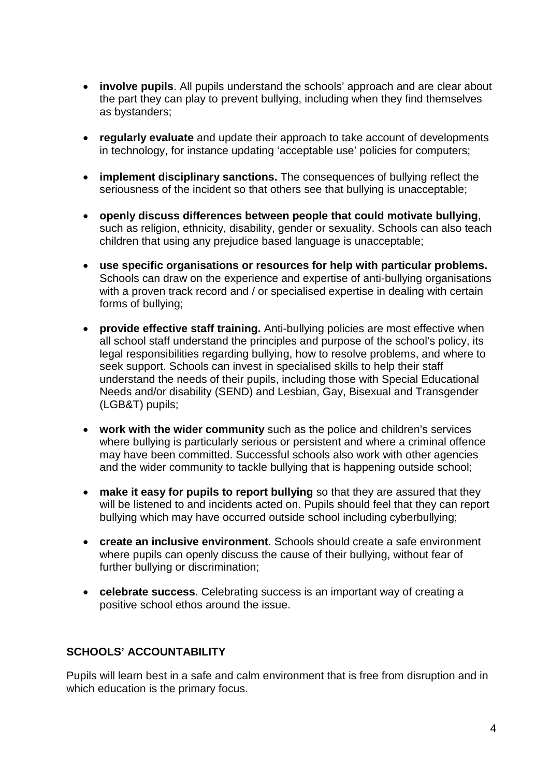- **involve pupils**. All pupils understand the schools' approach and are clear about the part they can play to prevent bullying, including when they find themselves as bystanders;
- **regularly evaluate** and update their approach to take account of developments in technology, for instance updating 'acceptable use' policies for computers;
- **implement disciplinary sanctions.** The consequences of bullying reflect the seriousness of the incident so that others see that bullying is unacceptable;
- **openly discuss differences between people that could motivate bullying**, such as religion, ethnicity, disability, gender or sexuality. Schools can also teach children that using any prejudice based language is unacceptable;
- **use specific organisations or resources for help with particular problems.**  Schools can draw on the experience and expertise of anti-bullying organisations with a proven track record and / or specialised expertise in dealing with certain forms of bullying;
- **provide effective staff training.** Anti-bullying policies are most effective when all school staff understand the principles and purpose of the school's policy, its legal responsibilities regarding bullying, how to resolve problems, and where to seek support. Schools can invest in specialised skills to help their staff understand the needs of their pupils, including those with Special Educational Needs and/or disability (SEND) and Lesbian, Gay, Bisexual and Transgender (LGB&T) pupils;
- **work with the wider community** such as the police and children's services where bullying is particularly serious or persistent and where a criminal offence may have been committed. Successful schools also work with other agencies and the wider community to tackle bullying that is happening outside school;
- **make it easy for pupils to report bullying** so that they are assured that they will be listened to and incidents acted on. Pupils should feel that they can report bullying which may have occurred outside school including cyberbullying;
- **create an inclusive environment**. Schools should create a safe environment where pupils can openly discuss the cause of their bullying, without fear of further bullying or discrimination;
- **celebrate success**. Celebrating success is an important way of creating a positive school ethos around the issue.

# **SCHOOLS' ACCOUNTABILITY**

Pupils will learn best in a safe and calm environment that is free from disruption and in which education is the primary focus.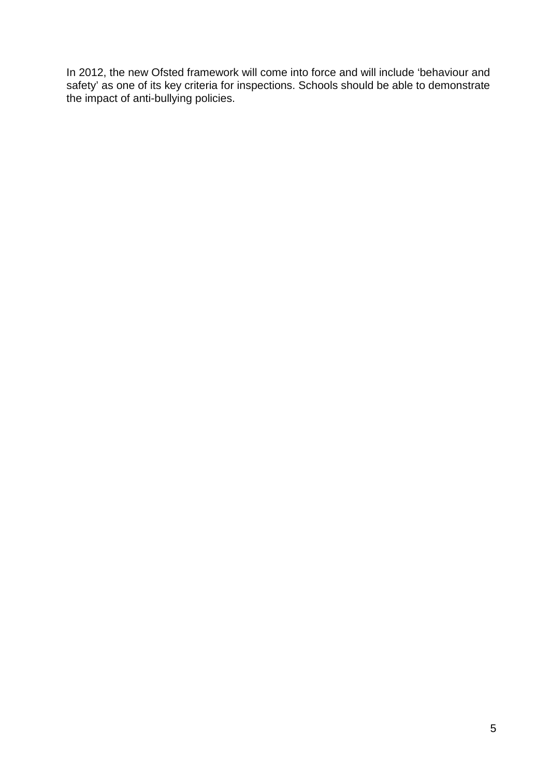In 2012, the new Ofsted framework will come into force and will include 'behaviour and safety' as one of its key criteria for inspections. Schools should be able to demonstrate the impact of anti-bullying policies.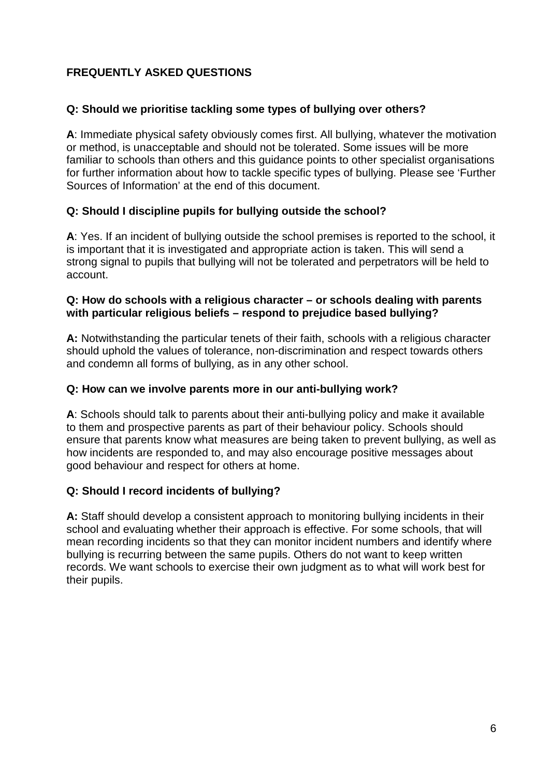# **FREQUENTLY ASKED QUESTIONS**

## **Q: Should we prioritise tackling some types of bullying over others?**

**A**: Immediate physical safety obviously comes first. All bullying, whatever the motivation or method, is unacceptable and should not be tolerated. Some issues will be more familiar to schools than others and this guidance points to other specialist organisations for further information about how to tackle specific types of bullying. Please see 'Further Sources of Information' at the end of this document.

## **Q: Should I discipline pupils for bullying outside the school?**

**A**: Yes. If an incident of bullying outside the school premises is reported to the school, it is important that it is investigated and appropriate action is taken. This will send a strong signal to pupils that bullying will not be tolerated and perpetrators will be held to account.

#### **Q: How do schools with a religious character – or schools dealing with parents with particular religious beliefs – respond to prejudice based bullying?**

**A:** Notwithstanding the particular tenets of their faith, schools with a religious character should uphold the values of tolerance, non-discrimination and respect towards others and condemn all forms of bullying, as in any other school.

#### **Q: How can we involve parents more in our anti-bullying work?**

**A**: Schools should talk to parents about their anti-bullying policy and make it available to them and prospective parents as part of their behaviour policy. Schools should ensure that parents know what measures are being taken to prevent bullying, as well as how incidents are responded to, and may also encourage positive messages about good behaviour and respect for others at home.

#### **Q: Should I record incidents of bullying?**

**A:** Staff should develop a consistent approach to monitoring bullying incidents in their school and evaluating whether their approach is effective. For some schools, that will mean recording incidents so that they can monitor incident numbers and identify where bullying is recurring between the same pupils. Others do not want to keep written records. We want schools to exercise their own judgment as to what will work best for their pupils.